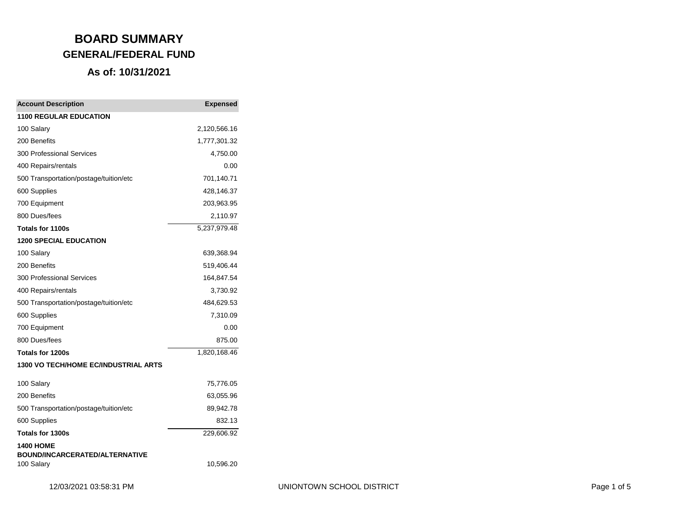| <b>Account Description</b>                          | <b>Expensed</b> |
|-----------------------------------------------------|-----------------|
| <b>1100 REGULAR EDUCATION</b>                       |                 |
| 100 Salary                                          | 2,120,566.16    |
| 200 Benefits                                        | 1,777,301.32    |
| <b>300 Professional Services</b>                    | 4,750.00        |
| 400 Repairs/rentals                                 | 0.00            |
| 500 Transportation/postage/tuition/etc              | 701,140.71      |
| 600 Supplies                                        | 428,146.37      |
| 700 Equipment                                       | 203,963.95      |
| 800 Dues/fees                                       | 2,110.97        |
| Totals for 1100s                                    | 5,237,979.48    |
| <b>1200 SPECIAL EDUCATION</b>                       |                 |
| 100 Salary                                          | 639,368.94      |
| 200 Benefits                                        | 519,406.44      |
| <b>300 Professional Services</b>                    | 164,847.54      |
| 400 Repairs/rentals                                 | 3,730.92        |
| 500 Transportation/postage/tuition/etc              | 484,629.53      |
| 600 Supplies                                        | 7,310.09        |
| 700 Equipment                                       | 0.00            |
| 800 Dues/fees                                       | 875.00          |
| Totals for 1200s                                    | 1,820,168.46    |
| 1300 VO TECH/HOME EC/INDUSTRIAL ARTS                |                 |
| 100 Salary                                          | 75,776.05       |
| 200 Benefits                                        | 63,055.96       |
| 500 Transportation/postage/tuition/etc              | 89,942.78       |
| 600 Supplies                                        | 832.13          |
| <b>Totals for 1300s</b>                             | 229,606.92      |
| <b>1400 HOME</b>                                    |                 |
| <b>BOUND/INCARCERATED/ALTERNATIVE</b><br>100 Salary | 10,596.20       |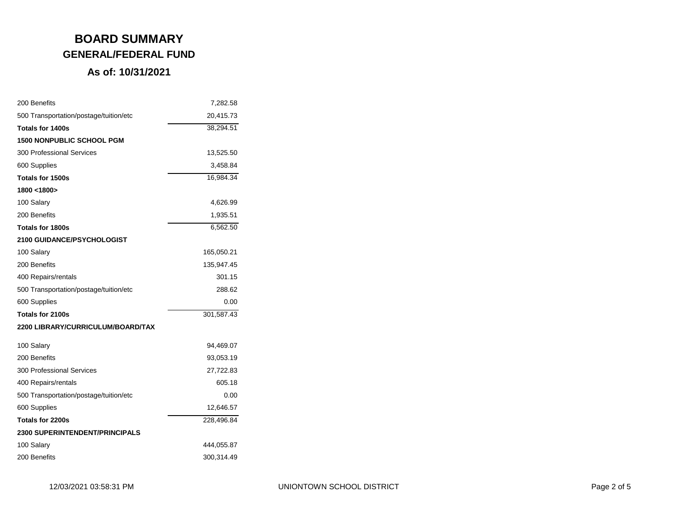| 200 Benefits                           | 7,282.58   |
|----------------------------------------|------------|
| 500 Transportation/postage/tuition/etc | 20,415.73  |
| Totals for 1400s                       | 38,294.51  |
| <b>1500 NONPUBLIC SCHOOL PGM</b>       |            |
| <b>300 Professional Services</b>       | 13,525.50  |
| 600 Supplies                           | 3,458.84   |
| Totals for 1500s                       | 16,984.34  |
| 1800 <1800>                            |            |
| 100 Salary                             | 4,626.99   |
| 200 Benefits                           | 1,935.51   |
| Totals for 1800s                       | 6,562.50   |
| <b>2100 GUIDANCE/PSYCHOLOGIST</b>      |            |
| 100 Salary                             | 165,050.21 |
| 200 Benefits                           | 135,947.45 |
| 400 Repairs/rentals                    | 301.15     |
| 500 Transportation/postage/tuition/etc | 288.62     |
| 600 Supplies                           | 0.00       |
| Totals for 2100s                       | 301,587.43 |
| 2200 LIBRARY/CURRICULUM/BOARD/TAX      |            |
| 100 Salary                             | 94,469.07  |
| 200 Benefits                           | 93,053.19  |
| <b>300 Professional Services</b>       | 27,722.83  |
| 400 Repairs/rentals                    | 605.18     |
| 500 Transportation/postage/tuition/etc | 0.00       |
| 600 Supplies                           | 12,646.57  |
| Totals for 2200s                       | 228,496.84 |
| <b>2300 SUPERINTENDENT/PRINCIPALS</b>  |            |
| 100 Salary                             | 444,055.87 |
| 200 Benefits                           | 300,314.49 |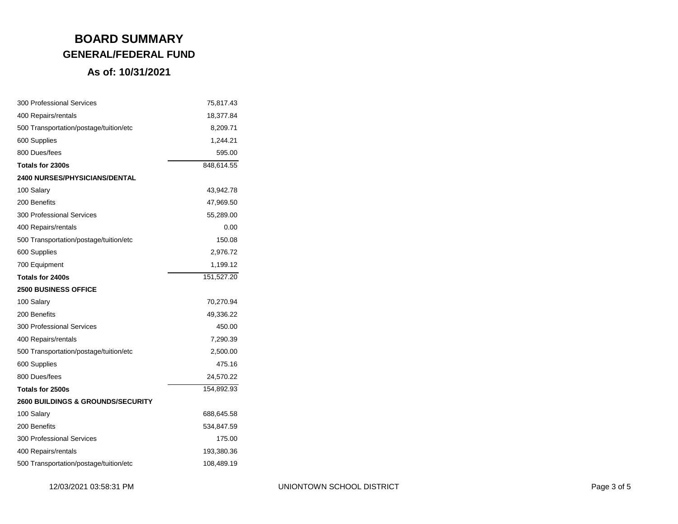| <b>300 Professional Services</b>             | 75,817.43  |
|----------------------------------------------|------------|
| 400 Repairs/rentals                          | 18,377.84  |
| 500 Transportation/postage/tuition/etc       | 8,209.71   |
| 600 Supplies                                 | 1,244.21   |
| 800 Dues/fees                                | 595.00     |
| Totals for 2300s                             | 848,614.55 |
| <b>2400 NURSES/PHYSICIANS/DENTAL</b>         |            |
| 100 Salary                                   | 43,942.78  |
| 200 Benefits                                 | 47,969.50  |
| 300 Professional Services                    | 55,289.00  |
| 400 Repairs/rentals                          | 0.00       |
| 500 Transportation/postage/tuition/etc       | 150.08     |
| 600 Supplies                                 | 2,976.72   |
| 700 Equipment                                | 1,199.12   |
| Totals for 2400s                             | 151,527.20 |
| <b>2500 BUSINESS OFFICE</b>                  |            |
| 100 Salary                                   | 70,270.94  |
| 200 Benefits                                 | 49,336.22  |
| <b>300 Professional Services</b>             | 450.00     |
| 400 Repairs/rentals                          | 7,290.39   |
| 500 Transportation/postage/tuition/etc       | 2,500.00   |
| 600 Supplies                                 | 475.16     |
| 800 Dues/fees                                | 24,570.22  |
| Totals for 2500s                             | 154,892.93 |
| <b>2600 BUILDINGS &amp; GROUNDS/SECURITY</b> |            |
| 100 Salary                                   | 688,645.58 |
| 200 Benefits                                 | 534,847.59 |
| <b>300 Professional Services</b>             | 175.00     |
| 400 Repairs/rentals                          | 193,380.36 |
| 500 Transportation/postage/tuition/etc       | 108,489.19 |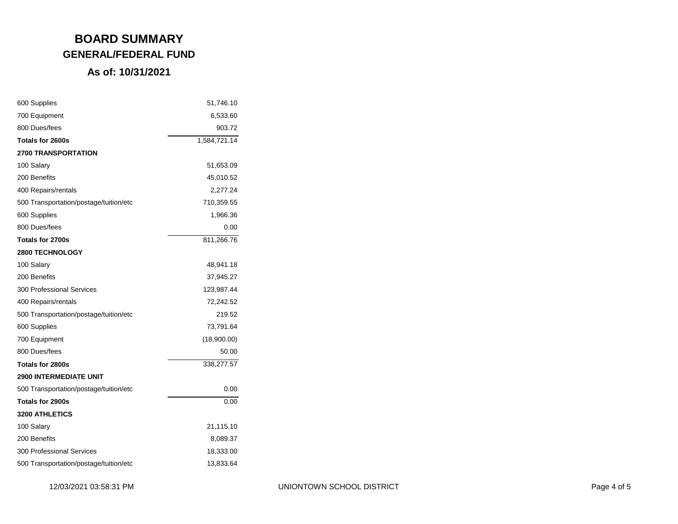| 600 Supplies                           | 51,746.10    |
|----------------------------------------|--------------|
| 700 Equipment                          | 6,533.60     |
| 800 Dues/fees                          | 903.72       |
| Totals for 2600s                       | 1,584,721.14 |
| <b>2700 TRANSPORTATION</b>             |              |
| 100 Salary                             | 51,653.09    |
| 200 Benefits                           | 45,010.52    |
| 400 Repairs/rentals                    | 2,277.24     |
| 500 Transportation/postage/tuition/etc | 710,359.55   |
| 600 Supplies                           | 1,966.36     |
| 800 Dues/fees                          | 0.00         |
| Totals for 2700s                       | 811,266.76   |
| <b>2800 TECHNOLOGY</b>                 |              |
| 100 Salary                             | 48,941.18    |
| 200 Benefits                           | 37,945.27    |
| <b>300 Professional Services</b>       | 123,987.44   |
| 400 Repairs/rentals                    | 72,242.52    |
| 500 Transportation/postage/tuition/etc | 219.52       |
| 600 Supplies                           | 73,791.64    |
| 700 Equipment                          | (18,900.00)  |
| 800 Dues/fees                          | 50.00        |
| Totals for 2800s                       | 338,277.57   |
| <b>2900 INTERMEDIATE UNIT</b>          |              |
| 500 Transportation/postage/tuition/etc | 0.00         |
| Totals for 2900s                       | 0.00         |
| <b>3200 ATHLETICS</b>                  |              |
| 100 Salary                             | 21,115.10    |
| 200 Benefits                           | 8,089.37     |
| <b>300 Professional Services</b>       | 18,333.00    |
| 500 Transportation/postage/tuition/etc | 13,833.64    |